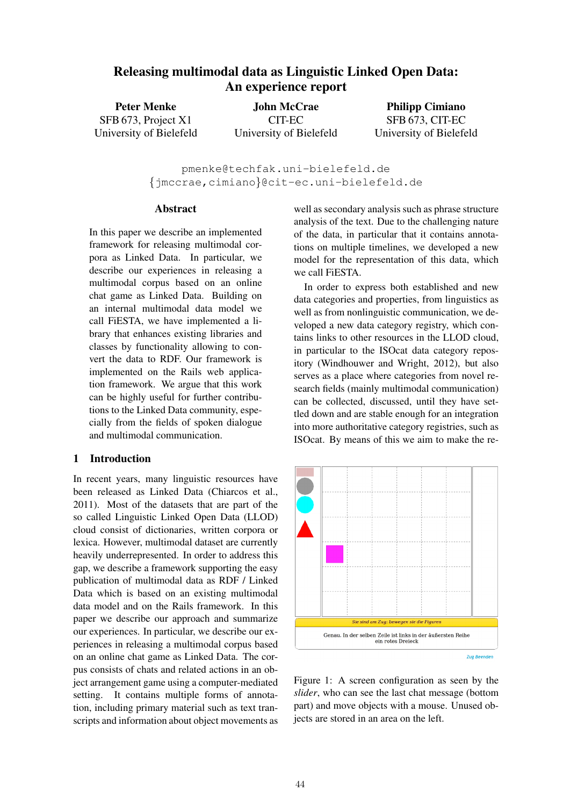## Releasing multimodal data as Linguistic Linked Open Data: An experience report

Peter Menke SFB 673, Project X1 University of Bielefeld

John McCrae CIT-EC University of Bielefeld

Philipp Cimiano SFB 673, CIT-EC University of Bielefeld

pmenke@techfak.uni-bielefeld.de {jmccrae,cimiano}@cit-ec.uni-bielefeld.de

### Abstract

In this paper we describe an implemented framework for releasing multimodal corpora as Linked Data. In particular, we describe our experiences in releasing a multimodal corpus based on an online chat game as Linked Data. Building on an internal multimodal data model we call FiESTA, we have implemented a library that enhances existing libraries and classes by functionality allowing to convert the data to RDF. Our framework is implemented on the Rails web application framework. We argue that this work can be highly useful for further contributions to the Linked Data community, especially from the fields of spoken dialogue and multimodal communication.

## 1 Introduction

In recent years, many linguistic resources have been released as Linked Data (Chiarcos et al., 2011). Most of the datasets that are part of the so called Linguistic Linked Open Data (LLOD) cloud consist of dictionaries, written corpora or lexica. However, multimodal dataset are currently heavily underrepresented. In order to address this gap, we describe a framework supporting the easy publication of multimodal data as RDF / Linked Data which is based on an existing multimodal data model and on the Rails framework. In this paper we describe our approach and summarize our experiences. In particular, we describe our experiences in releasing a multimodal corpus based on an online chat game as Linked Data. The corpus consists of chats and related actions in an object arrangement game using a computer-mediated setting. It contains multiple forms of annotation, including primary material such as text transcripts and information about object movements as

well as secondary analysis such as phrase structure analysis of the text. Due to the challenging nature of the data, in particular that it contains annotations on multiple timelines, we developed a new model for the representation of this data, which we call FiESTA.

In order to express both established and new data categories and properties, from linguistics as well as from nonlinguistic communication, we developed a new data category registry, which contains links to other resources in the LLOD cloud, in particular to the ISOcat data category repository (Windhouwer and Wright, 2012), but also serves as a place where categories from novel research fields (mainly multimodal communication) can be collected, discussed, until they have settled down and are stable enough for an integration into more authoritative category registries, such as ISOcat. By means of this we aim to make the re-



Figure 1: A screen configuration as seen by the *slider*, who can see the last chat message (bottom part) and move objects with a mouse. Unused objects are stored in an area on the left.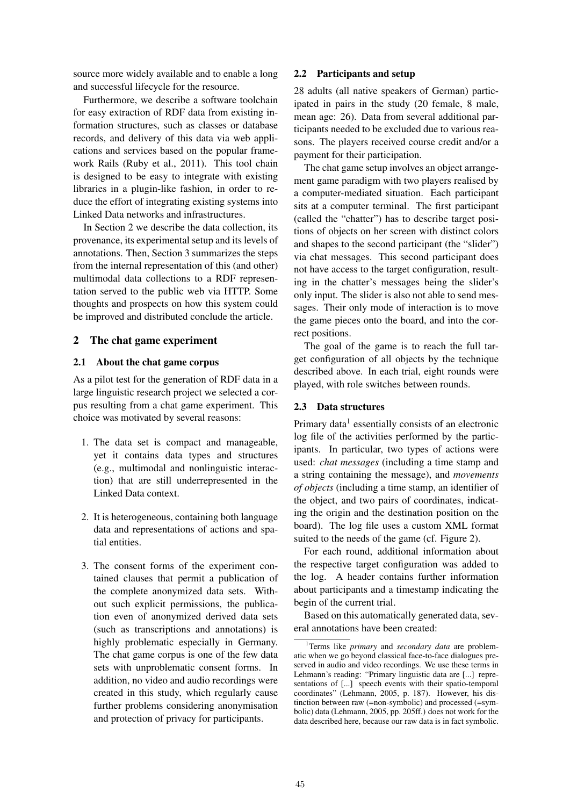source more widely available and to enable a long and successful lifecycle for the resource.

Furthermore, we describe a software toolchain for easy extraction of RDF data from existing information structures, such as classes or database records, and delivery of this data via web applications and services based on the popular framework Rails (Ruby et al., 2011). This tool chain is designed to be easy to integrate with existing libraries in a plugin-like fashion, in order to reduce the effort of integrating existing systems into Linked Data networks and infrastructures.

In Section 2 we describe the data collection, its provenance, its experimental setup and its levels of annotations. Then, Section 3 summarizes the steps from the internal representation of this (and other) multimodal data collections to a RDF representation served to the public web via HTTP. Some thoughts and prospects on how this system could be improved and distributed conclude the article.

### 2 The chat game experiment

### 2.1 About the chat game corpus

As a pilot test for the generation of RDF data in a large linguistic research project we selected a corpus resulting from a chat game experiment. This choice was motivated by several reasons:

- 1. The data set is compact and manageable, yet it contains data types and structures (e.g., multimodal and nonlinguistic interaction) that are still underrepresented in the Linked Data context.
- 2. It is heterogeneous, containing both language data and representations of actions and spatial entities.
- 3. The consent forms of the experiment contained clauses that permit a publication of the complete anonymized data sets. Without such explicit permissions, the publication even of anonymized derived data sets (such as transcriptions and annotations) is highly problematic especially in Germany. The chat game corpus is one of the few data sets with unproblematic consent forms. In addition, no video and audio recordings were created in this study, which regularly cause further problems considering anonymisation and protection of privacy for participants.

#### 2.2 Participants and setup

28 adults (all native speakers of German) participated in pairs in the study (20 female, 8 male, mean age: 26). Data from several additional participants needed to be excluded due to various reasons. The players received course credit and/or a payment for their participation.

The chat game setup involves an object arrangement game paradigm with two players realised by a computer-mediated situation. Each participant sits at a computer terminal. The first participant (called the "chatter") has to describe target positions of objects on her screen with distinct colors and shapes to the second participant (the "slider") via chat messages. This second participant does not have access to the target configuration, resulting in the chatter's messages being the slider's only input. The slider is also not able to send messages. Their only mode of interaction is to move the game pieces onto the board, and into the correct positions.

The goal of the game is to reach the full target configuration of all objects by the technique described above. In each trial, eight rounds were played, with role switches between rounds.

### 2.3 Data structures

Primary data<sup>1</sup> essentially consists of an electronic log file of the activities performed by the participants. In particular, two types of actions were used: *chat messages* (including a time stamp and a string containing the message), and *movements of objects* (including a time stamp, an identifier of the object, and two pairs of coordinates, indicating the origin and the destination position on the board). The log file uses a custom XML format suited to the needs of the game (cf. Figure 2).

For each round, additional information about the respective target configuration was added to the log. A header contains further information about participants and a timestamp indicating the begin of the current trial.

Based on this automatically generated data, several annotations have been created:

<sup>1</sup>Terms like *primary* and *secondary data* are problematic when we go beyond classical face-to-face dialogues preserved in audio and video recordings. We use these terms in Lehmann's reading: "Primary linguistic data are [...] representations of [...] speech events with their spatio-temporal coordinates" (Lehmann, 2005, p. 187). However, his distinction between raw (=non-symbolic) and processed (=symbolic) data (Lehmann, 2005, pp. 205ff.) does not work for the data described here, because our raw data is in fact symbolic.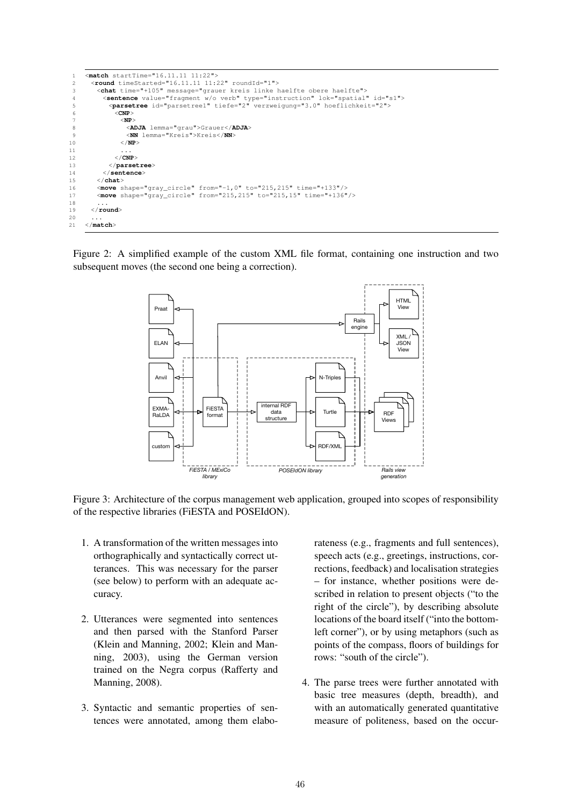| $\mathbf{1}$   | $\epsilon$ match startTime="16.11.11 11:22">                                             |  |  |
|----------------|------------------------------------------------------------------------------------------|--|--|
| $\mathfrak{D}$ | $\epsilon$ round timeStarted="16.11.11 11:22" roundId="1">                               |  |  |
| 3              | <chat message="grauer kreis linke haelfte obere haelfte" time="+105"></chat>             |  |  |
| 4              | <sentence id="s1" lok="spatial" type="instruction" value="fragment w/o verb"></sentence> |  |  |
| 5.             | <parsetree hoeflichkeit="2" id="parsetree1" tiefe="2" verzweigung="3.0"></parsetree>     |  |  |
| 6              | $<$ CNP $>$                                                                              |  |  |
|                | $<$ NP $>$                                                                               |  |  |
| 8              | <adja lemma="grau">Grauer</adja>                                                         |  |  |
| 9              | <nn lemma="Kreis">Kreis</nn>                                                             |  |  |
| 10             | $\langle$ /NP>                                                                           |  |  |
| 11             | .                                                                                        |  |  |
| 12             | $\langle$ / CNP $>$                                                                      |  |  |
| 13             | $\langle$ /parsetree>                                                                    |  |  |
| 14             | $\langle$ /sentence $\rangle$                                                            |  |  |
| 15             | $\langle$ / chat $>$                                                                     |  |  |
| 16             | $\leq$ move shape="gray circle" from="-1,0" to="215,215" time="+133"/>                   |  |  |
| 17             | <move from="215, 215" shape="gray circle" time="+136" to="215, 15"></move>               |  |  |
| 18             | $\cdot$ $\cdot$ $\cdot$                                                                  |  |  |
| 19             | $\langle$ round>                                                                         |  |  |
| 20             | .                                                                                        |  |  |
| 21             | $\langle$ /match $\rangle$                                                               |  |  |

Figure 2: A simplified example of the custom XML file format, containing one instruction and two subsequent moves (the second one being a correction).



Figure 3: Architecture of the corpus management web application, grouped into scopes of responsibility of the respective libraries (FiESTA and POSEIdON).

- 1. A transformation of the written messages into orthographically and syntactically correct utterances. This was necessary for the parser (see below) to perform with an adequate accuracy.
- 2. Utterances were segmented into sentences and then parsed with the Stanford Parser (Klein and Manning, 2002; Klein and Manning, 2003), using the German version trained on the Negra corpus (Rafferty and Manning, 2008).
- 3. Syntactic and semantic properties of sentences were annotated, among them elabo-

rateness (e.g., fragments and full sentences), speech acts (e.g., greetings, instructions, corrections, feedback) and localisation strategies – for instance, whether positions were described in relation to present objects ("to the right of the circle"), by describing absolute locations of the board itself ("into the bottomleft corner"), or by using metaphors (such as points of the compass, floors of buildings for rows: "south of the circle").

4. The parse trees were further annotated with basic tree measures (depth, breadth), and with an automatically generated quantitative measure of politeness, based on the occur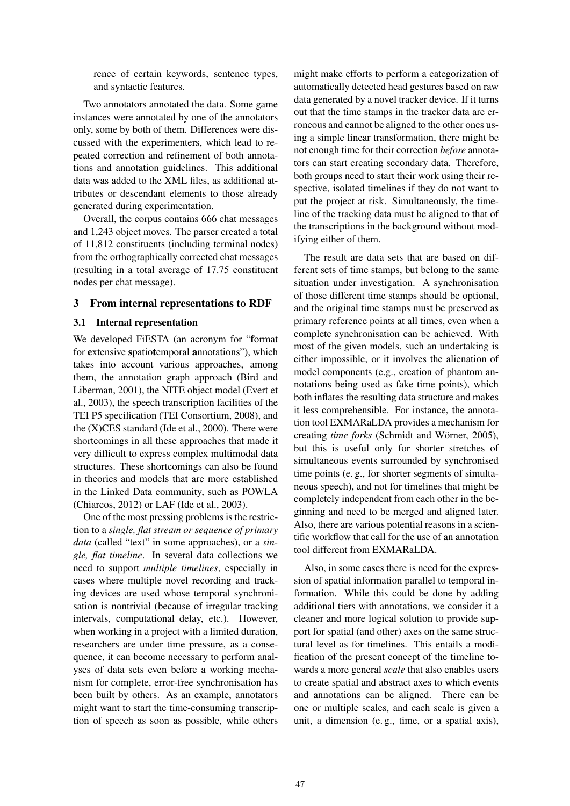rence of certain keywords, sentence types, and syntactic features.

Two annotators annotated the data. Some game instances were annotated by one of the annotators only, some by both of them. Differences were discussed with the experimenters, which lead to repeated correction and refinement of both annotations and annotation guidelines. This additional data was added to the XML files, as additional attributes or descendant elements to those already generated during experimentation.

Overall, the corpus contains 666 chat messages and 1,243 object moves. The parser created a total of 11,812 constituents (including terminal nodes) from the orthographically corrected chat messages (resulting in a total average of 17.75 constituent nodes per chat message).

### 3 From internal representations to RDF

### 3.1 Internal representation

We developed FiESTA (an acronym for "format for extensive spatiotemporal annotations"), which takes into account various approaches, among them, the annotation graph approach (Bird and Liberman, 2001), the NITE object model (Evert et al., 2003), the speech transcription facilities of the TEI P5 specification (TEI Consortium, 2008), and the (X)CES standard (Ide et al., 2000). There were shortcomings in all these approaches that made it very difficult to express complex multimodal data structures. These shortcomings can also be found in theories and models that are more established in the Linked Data community, such as POWLA (Chiarcos, 2012) or LAF (Ide et al., 2003).

One of the most pressing problems is the restriction to a *single, flat stream or sequence of primary data* (called "text" in some approaches), or a *single, flat timeline*. In several data collections we need to support *multiple timelines*, especially in cases where multiple novel recording and tracking devices are used whose temporal synchronisation is nontrivial (because of irregular tracking intervals, computational delay, etc.). However, when working in a project with a limited duration, researchers are under time pressure, as a consequence, it can become necessary to perform analyses of data sets even before a working mechanism for complete, error-free synchronisation has been built by others. As an example, annotators might want to start the time-consuming transcription of speech as soon as possible, while others might make efforts to perform a categorization of automatically detected head gestures based on raw data generated by a novel tracker device. If it turns out that the time stamps in the tracker data are erroneous and cannot be aligned to the other ones using a simple linear transformation, there might be not enough time for their correction *before* annotators can start creating secondary data. Therefore, both groups need to start their work using their respective, isolated timelines if they do not want to put the project at risk. Simultaneously, the timeline of the tracking data must be aligned to that of the transcriptions in the background without modifying either of them.

The result are data sets that are based on different sets of time stamps, but belong to the same situation under investigation. A synchronisation of those different time stamps should be optional, and the original time stamps must be preserved as primary reference points at all times, even when a complete synchronisation can be achieved. With most of the given models, such an undertaking is either impossible, or it involves the alienation of model components (e.g., creation of phantom annotations being used as fake time points), which both inflates the resulting data structure and makes it less comprehensible. For instance, the annotation tool EXMARaLDA provides a mechanism for creating *time forks* (Schmidt and Wörner, 2005), but this is useful only for shorter stretches of simultaneous events surrounded by synchronised time points (e. g., for shorter segments of simultaneous speech), and not for timelines that might be completely independent from each other in the beginning and need to be merged and aligned later. Also, there are various potential reasons in a scientific workflow that call for the use of an annotation tool different from EXMARaLDA.

Also, in some cases there is need for the expression of spatial information parallel to temporal information. While this could be done by adding additional tiers with annotations, we consider it a cleaner and more logical solution to provide support for spatial (and other) axes on the same structural level as for timelines. This entails a modification of the present concept of the timeline towards a more general *scale* that also enables users to create spatial and abstract axes to which events and annotations can be aligned. There can be one or multiple scales, and each scale is given a unit, a dimension (e. g., time, or a spatial axis),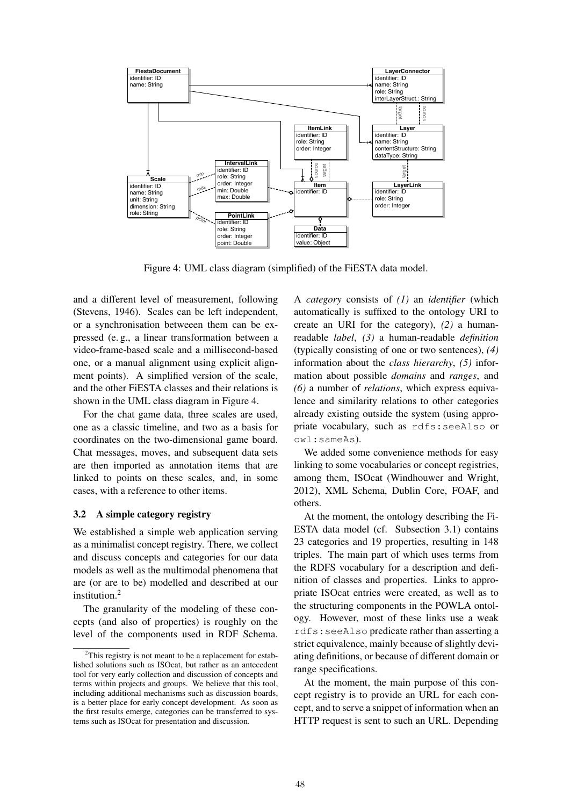

Figure 4: UML class diagram (simplified) of the FiESTA data model.

and a different level of measurement, following (Stevens, 1946). Scales can be left independent, or a synchronisation betweeen them can be expressed (e. g., a linear transformation between a video-frame-based scale and a millisecond-based one, or a manual alignment using explicit alignment points). A simplified version of the scale, and the other FiESTA classes and their relations is shown in the UML class diagram in Figure 4.

For the chat game data, three scales are used, one as a classic timeline, and two as a basis for coordinates on the two-dimensional game board. Chat messages, moves, and subsequent data sets are then imported as annotation items that are linked to points on these scales, and, in some cases, with a reference to other items.

### 3.2 A simple category registry

We established a simple web application serving as a minimalist concept registry. There, we collect and discuss concepts and categories for our data models as well as the multimodal phenomena that are (or are to be) modelled and described at our institution.<sup>2</sup>

The granularity of the modeling of these concepts (and also of properties) is roughly on the level of the components used in RDF Schema. A *category* consists of *(1)* an *identifier* (which automatically is suffixed to the ontology URI to create an URI for the category), *(2)* a humanreadable *label*, *(3)* a human-readable *definition* (typically consisting of one or two sentences), *(4)* information about the *class hierarchy*, *(5)* information about possible *domains* and *ranges*, and *(6)* a number of *relations*, which express equivalence and similarity relations to other categories already existing outside the system (using appropriate vocabulary, such as rdfs:seeAlso or owl:sameAs).

We added some convenience methods for easy linking to some vocabularies or concept registries, among them, ISOcat (Windhouwer and Wright, 2012), XML Schema, Dublin Core, FOAF, and others.

At the moment, the ontology describing the Fi-ESTA data model (cf. Subsection 3.1) contains 23 categories and 19 properties, resulting in 148 triples. The main part of which uses terms from the RDFS vocabulary for a description and definition of classes and properties. Links to appropriate ISOcat entries were created, as well as to the structuring components in the POWLA ontology. However, most of these links use a weak rdfs:seeAlso predicate rather than asserting a strict equivalence, mainly because of slightly deviating definitions, or because of different domain or range specifications.

At the moment, the main purpose of this concept registry is to provide an URL for each concept, and to serve a snippet of information when an HTTP request is sent to such an URL. Depending

 $2$ This registry is not meant to be a replacement for established solutions such as ISOcat, but rather as an antecedent tool for very early collection and discussion of concepts and terms within projects and groups. We believe that this tool, including additional mechanisms such as discussion boards, is a better place for early concept development. As soon as the first results emerge, categories can be transferred to systems such as ISOcat for presentation and discussion.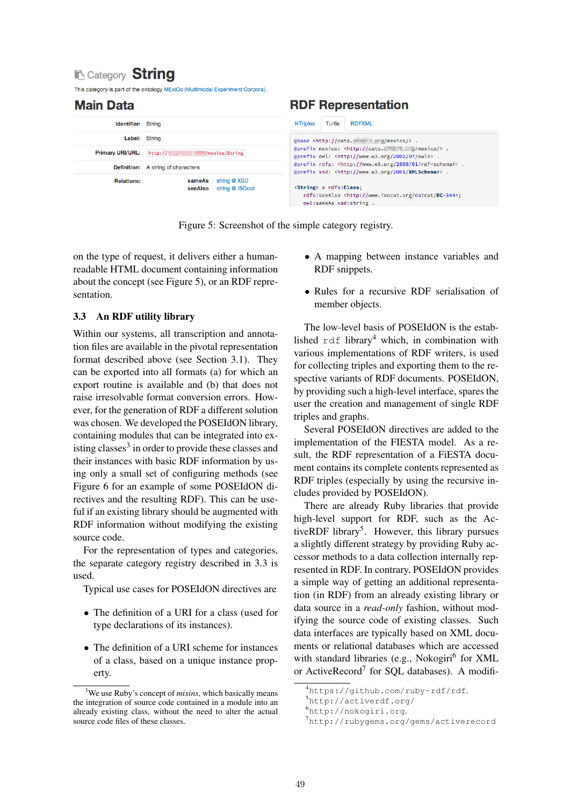# **R** Category String

This category is part of the ontology MExiCo (Multimodal Experiment Corpora).

## **Main Data**

| <b>Identifier: String</b> |                                                      | <b>RDFXML</b><br><b>NTriples</b><br>Turtle                                                                                                       |  |
|---------------------------|------------------------------------------------------|--------------------------------------------------------------------------------------------------------------------------------------------------|--|
| Label: String             |                                                      | @base <http: cats.="" manual="" mexico=""></http:> .                                                                                             |  |
| <b>Primary URI/URL:</b>   | http://<br>/mexico/String                            | @prefix mexico: <http: cats.="" mexico="" the=""></http:> .<br>@prefix owl: <http: 07="" 2002="" owl#="" www.w3.org=""> .</http:>                |  |
|                           | <b>Definition:</b> A string of characters            | @prefix rdfs: <http: 01="" 2000="" rdf-schema#="" www.w3.org="">.<br/>@prefix xsd: <http: 2001="" www.w3.org="" xmlschema#=""> .</http:></http:> |  |
| <b>Relations:</b>         | string @ XSD<br>sameAs<br>string @ ISOcat<br>seeAlso | <string> a rdfs:Class;<br/>rdfs:seeAlso <http: datcat="" dc-344="" www.isocat.org="">;<br/>owl:sameAs xsd:string.</http:></string>               |  |

**RDF Representation** 

Figure 5: Screenshot of the simple category registry.

on the type of request, it delivers either a humanreadable HTML document containing information about the concept (see Figure 5), or an RDF representation.

## 3.3 An RDF utility library

Within our systems, all transcription and annotation files are available in the pivotal representation format described above (see Section 3.1). They can be exported into all formats (a) for which an export routine is available and (b) that does not raise irresolvable format conversion errors. However, for the generation of RDF a different solution was chosen. We developed the POSEIdON library, containing modules that can be integrated into existing classes<sup>3</sup> in order to provide these classes and their instances with basic RDF information by using only a small set of configuring methods (see Figure 6 for an example of some POSEIdON directives and the resulting RDF). This can be useful if an existing library should be augmented with RDF information without modifying the existing source code.

For the representation of types and categories, the separate category registry described in 3.3 is used.

Typical use cases for POSEIdON directives are

- The definition of a URI for a class (used for type declarations of its instances).
- The definition of a URI scheme for instances of a class, based on a unique instance property.
- A mapping between instance variables and RDF snippets.
- Rules for a recursive RDF serialisation of member objects.

The low-level basis of POSEIdON is the established  $rdf$  library<sup>4</sup> which, in combination with various implementations of RDF writers, is used for collecting triples and exporting them to the respective variants of RDF documents. POSEIdON, by providing such a high-level interface, spares the user the creation and management of single RDF triples and graphs.

Several POSEIdON directives are added to the implementation of the FIESTA model. As a result, the RDF representation of a FiESTA document contains its complete contents represented as RDF triples (especially by using the recursive includes provided by POSEIdON).

There are already Ruby libraries that provide high-level support for RDF, such as the ActiveRDF library<sup>5</sup>. However, this library pursues a slightly different strategy by providing Ruby accessor methods to a data collection internally represented in RDF. In contrary, POSEIdON provides a simple way of getting an additional representation (in RDF) from an already existing library or data source in a *read-only* fashion, without modifying the source code of existing classes. Such data interfaces are typically based on XML documents or relational databases which are accessed with standard libraries (e.g., Nokogiri<sup>6</sup> for XML or ActiveRecord<sup>7</sup> for SQL databases). A modifi-

<sup>3</sup>We use Ruby's concept of *mixins*, which basically means the integration of source code contained in a module into an already existing class, without the need to alter the actual source code files of these classes.

<sup>4</sup>https://github.com/ruby-rdf/rdf.

<sup>5</sup>http://activerdf.org/

<sup>6</sup>http://nokogiri.org.

<sup>7</sup>http://rubygems.org/gems/activerecord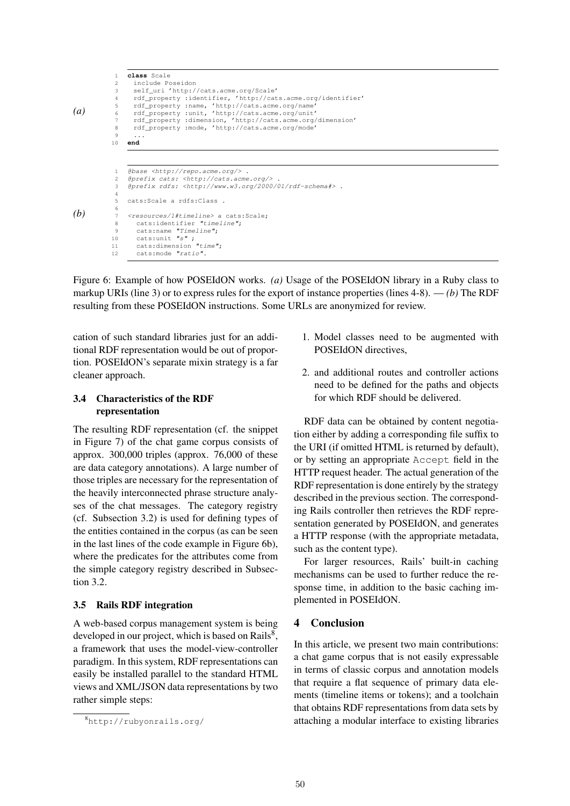```
(a)
            1 class Scale
                  include Poseidon
            3 self_uri 'http://cats.acme.org/Scale'
                  rdf property :identifier, 'http://cats.acme.org/identifier'
             5 rdf_property :name, 'http://cats.acme.org/name'
6 rdf_property :unit, 'http://cats.acme.org/unit'
                  7 rdf_property :dimension, 'http://cats.acme.org/dimension'
            8 rdf_property :mode, 'http://cats.acme.org/mode'
            9 ...
10 end
(b)
            1 @base <http://repo.acme.org/> .
            2 @prefix cats: <http://cats.acme.org/> .
            3 @prefix rdfs: <http://www.w3.org/2000/01/rdf-schema#> .
             4
                cats:Scale a rdfs:Class
             6
                7 <resources/1#timeline> a cats:Scale;
            8 cats:identifier "timeline";
            9 cats:name "Timeline";<br>10 cats:unit "s" ;<br>11 cats:dimension "time";
           12 cats:mode "ratio".
```
Figure 6: Example of how POSEIdON works. *(a)* Usage of the POSEIdON library in a Ruby class to markup URIs (line 3) or to express rules for the export of instance properties (lines 4-8). — *(b)* The RDF resulting from these POSEIdON instructions. Some URLs are anonymized for review.

cation of such standard libraries just for an additional RDF representation would be out of proportion. POSEIdON's separate mixin strategy is a far cleaner approach.

## 3.4 Characteristics of the RDF representation

The resulting RDF representation (cf. the snippet in Figure 7) of the chat game corpus consists of approx. 300,000 triples (approx. 76,000 of these are data category annotations). A large number of those triples are necessary for the representation of the heavily interconnected phrase structure analyses of the chat messages. The category registry (cf. Subsection 3.2) is used for defining types of the entities contained in the corpus (as can be seen in the last lines of the code example in Figure 6b), where the predicates for the attributes come from the simple category registry described in Subsection 3.2.

## 3.5 Rails RDF integration

A web-based corpus management system is being developed in our project, which is based on Rails<sup>8</sup>, a framework that uses the model-view-controller paradigm. In this system, RDF representations can easily be installed parallel to the standard HTML views and XML/JSON data representations by two rather simple steps:

- 1. Model classes need to be augmented with POSEIdON directives,
- 2. and additional routes and controller actions need to be defined for the paths and objects for which RDF should be delivered.

RDF data can be obtained by content negotiation either by adding a corresponding file suffix to the URI (if omitted HTML is returned by default), or by setting an appropriate Accept field in the HTTP request header. The actual generation of the RDF representation is done entirely by the strategy described in the previous section. The corresponding Rails controller then retrieves the RDF representation generated by POSEIdON, and generates a HTTP response (with the appropriate metadata, such as the content type).

For larger resources, Rails' built-in caching mechanisms can be used to further reduce the response time, in addition to the basic caching implemented in POSEIdON.

## 4 Conclusion

In this article, we present two main contributions: a chat game corpus that is not easily expressable in terms of classic corpus and annotation models that require a flat sequence of primary data elements (timeline items or tokens); and a toolchain that obtains RDF representations from data sets by attaching a modular interface to existing libraries

<sup>8</sup>http://rubyonrails.org/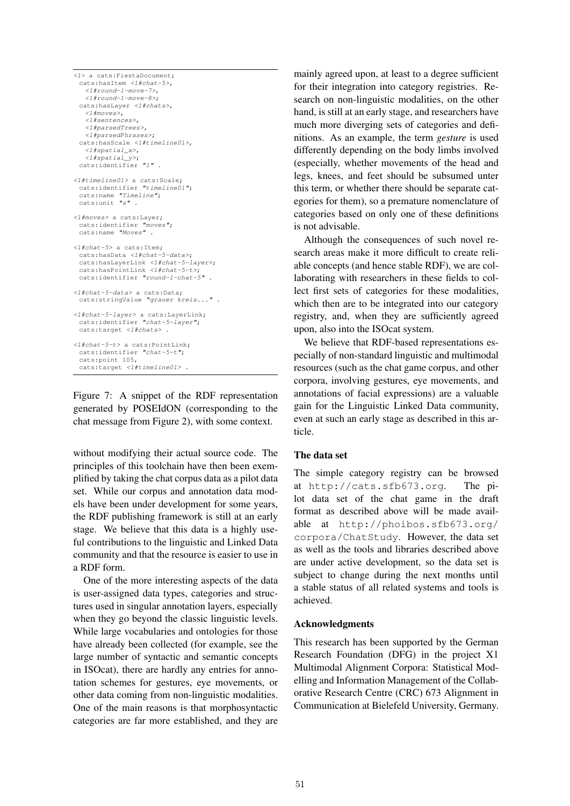```
<1> a cats:FiestaDocument;
 cats:hasItem <1#chat-5>,
   <1#round-1-move-7>
   \langle 1# round-1-move-8 \rangle;
 cats:hasLayer <1#chats>,
   \langle1#moves>.
   <1#sentences>,
   <1#parsedTrees>,
   <1#parsedPhrases>;
 cats:hasScale <1#timeline01>,
   <1#spatial_x>,
   <1#spatial_y>;
 \cot s:identifier "1"
<1#timeline01> a cats:Scale;
 cats:identifier "timeline01";
 cats:name "Timeline";<br>cats:unit "s".
<1#moves> a cats:Layer;
 cats:identifier "moves";
 cats:name "Moves" .
<1#chat-5> a cats:Item;
 cats:hasData <1#chat-5-data>;
 cats:hasLayerLink <1#chat-5-layer>;
 cats:hasPointLink <1#chat-5-t>;
 cats:identifier "round-1-chat-5".
<1#chat-5-data> a cats:Data;
 cats:stringValue "grauer kreis..." .
<1#chat-5-layer> a cats:LayerLink;
cats:identifier "chat-5-layer";
 cats:target <1#chats> .
\langle1#chat-5-t> a cats:PointLink:
 cats:identifier "chat-5-t";
 cats:point 105,
 cats:target <1#timeline01> .
```
Figure 7: A snippet of the RDF representation generated by POSEIdON (corresponding to the chat message from Figure 2), with some context.

without modifying their actual source code. The principles of this toolchain have then been exemplified by taking the chat corpus data as a pilot data set. While our corpus and annotation data models have been under development for some years, the RDF publishing framework is still at an early stage. We believe that this data is a highly useful contributions to the linguistic and Linked Data community and that the resource is easier to use in a RDF form.

One of the more interesting aspects of the data is user-assigned data types, categories and structures used in singular annotation layers, especially when they go beyond the classic linguistic levels. While large vocabularies and ontologies for those have already been collected (for example, see the large number of syntactic and semantic concepts in ISOcat), there are hardly any entries for annotation schemes for gestures, eye movements, or other data coming from non-linguistic modalities. One of the main reasons is that morphosyntactic categories are far more established, and they are

mainly agreed upon, at least to a degree sufficient for their integration into category registries. Research on non-linguistic modalities, on the other hand, is still at an early stage, and researchers have much more diverging sets of categories and definitions. As an example, the term *gesture* is used differently depending on the body limbs involved (especially, whether movements of the head and legs, knees, and feet should be subsumed unter this term, or whether there should be separate categories for them), so a premature nomenclature of categories based on only one of these definitions is not advisable.

Although the consequences of such novel research areas make it more difficult to create reliable concepts (and hence stable RDF), we are collaborating with researchers in these fields to collect first sets of categories for these modalities, which then are to be integrated into our category registry, and, when they are sufficiently agreed upon, also into the ISOcat system.

We believe that RDF-based representations especially of non-standard linguistic and multimodal resources (such as the chat game corpus, and other corpora, involving gestures, eye movements, and annotations of facial expressions) are a valuable gain for the Linguistic Linked Data community, even at such an early stage as described in this article.

## The data set

The simple category registry can be browsed at http://cats.sfb673.org. The pilot data set of the chat game in the draft format as described above will be made available at http://phoibos.sfb673.org/ corpora/ChatStudy. However, the data set as well as the tools and libraries described above are under active development, so the data set is subject to change during the next months until a stable status of all related systems and tools is achieved.

### Acknowledgments

This research has been supported by the German Research Foundation (DFG) in the project X1 Multimodal Alignment Corpora: Statistical Modelling and Information Management of the Collaborative Research Centre (CRC) 673 Alignment in Communication at Bielefeld University, Germany.